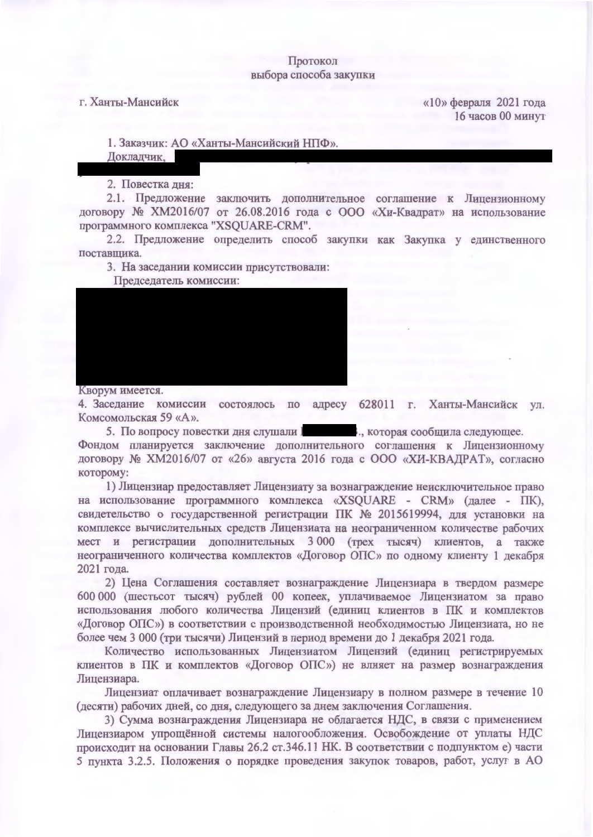## Протокол выбора способа закупки

## г. Ханты-Мансийск

«10» февраля 2021 года 16 часов 00 минут

1. Заказчик: АО «Ханты-Мансийский НПФ».

Докладчик,

2. Повестка дня:

2.1. Предложение заключить дополнительное соглашение к Лицензионному договору № XM2016/07 от 26.08.2016 года с ООО «Хи-Квадрат» на использование программного комплекса "XSQUARE-CRM".

2.2. Предложение определить способ закупки как Закупка у единственного поставщика.

3. На заседании комиссии присутствовали:

Председатель комиссии:



Кворум имеется.

4. Заседание комиссии состоялось по адресу 628011 г. Ханты-Мансийск ул. Комсомольская 59 «А».

5. По вопросу повестки дня слушали I **Manufact 1.**, которая сообщила следующее.

Фондом планируется заключение дополнительного соглашения к Лицензионному договору № XM2016/07 от «26» августа 2016 года с ООО «ХИ-КВАДРАТ», согласно которому:

1) Лицензиар предоставляет Лицензиату за вознаграждение неисключительное право на использование программного комплекса «XSQUARE - CRM» (далее - ПК), свидетельство о государственной регистрации ПК № 2015619994, для установки на комплексе вычислительных средств Лицензиата на неограниченном количестве рабочих мест и регистрации дополнительных 3000 (трех тысяч) клиентов, а также неограниченного количества комплектов «Договор ОПС» по одному клиенту 1 декабря 2021 года.

2) Цена Соглашения составляет вознаграждение Лицензиара в твердом размере 600 000 (шестьсот тысяч) рублей 00 копеек, уплачиваемое Лицензиатом за право использования любого количества Лицензий (единиц клиентов в ПК и комплектов «Договор ОПС») в соответствии с производственной необходимостью Лицензиата, но не более чем 3 000 (три тысячи) Лицензий в период времени до 1 декабря 2021 года.

Количество использованных Лицензиатом Лицензий (единиц регистрируемых клиентов в ПК и комплектов «Договор ОПС») не влияет на размер вознаграждения Лицензиара.

Лицензиат оплачивает вознаграждение Лицензиару в полном размере в течение 10 (десяти) рабочих дней, со дня, следующего за днем заключения Соглашения.

3) Сумма вознаграждения Лицензиара не облагается НДС, в связи с применением Лицензиаром упрощённой системы налогообложения. Освобождение от уплаты НДС происходит на основании Главы 26.2 ст.346.11 НК. В соответствии с подпунктом е) части 5 пункта 3.2.5. Положения о порядке проведения закупок товаров, работ, услуг в АО